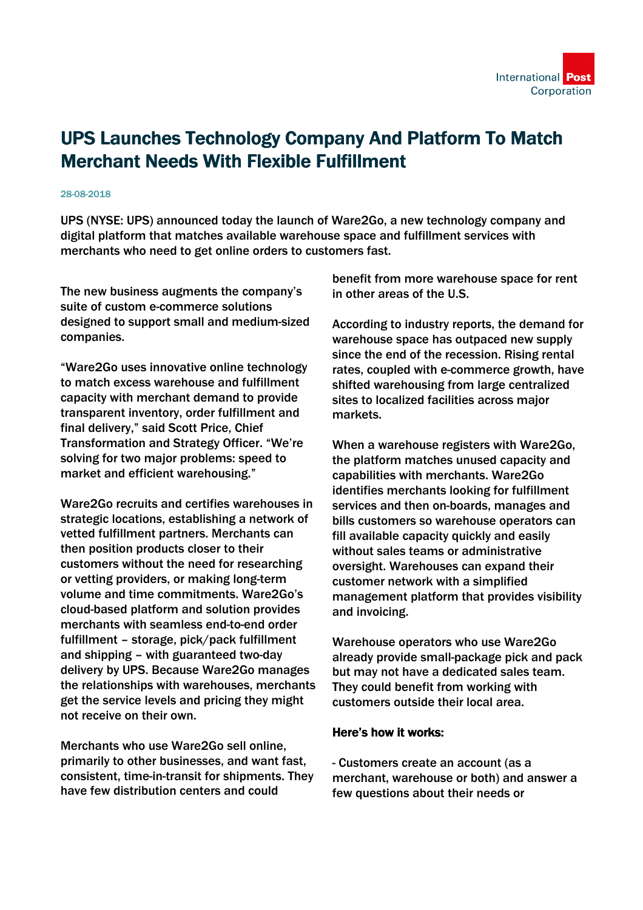## UPS Launches Technology Company And Platform To Match Merchant Needs With Flexible Fulfillment

## 28-08-2018

UPS (NYSE: UPS) announced today the launch of Ware2Go, a new technology company and digital platform that matches available warehouse space and fulfillment services with merchants who need to get online orders to customers fast.

The new business augments the company's suite of custom e-commerce solutions designed to support small and medium-sized companies.

"Ware2Go uses innovative online technology to match excess warehouse and fulfillment capacity with merchant demand to provide transparent inventory, order fulfillment and final delivery," said Scott Price, Chief Transformation and Strategy Officer. "We're solving for two major problems: speed to market and efficient warehousing."

Ware2Go recruits and certifies warehouses in strategic locations, establishing a network of vetted fulfillment partners. Merchants can then position products closer to their customers without the need for researching or vetting providers, or making long-term volume and time commitments. Ware2Go's cloud-based platform and solution provides merchants with seamless end-to-end order fulfillment – storage, pick/pack fulfillment and shipping – with guaranteed two-day delivery by UPS. Because Ware2Go manages the relationships with warehouses, merchants get the service levels and pricing they might not receive on their own.

Merchants who use Ware2Go sell online, primarily to other businesses, and want fast, consistent, time-in-transit for shipments. They have few distribution centers and could

benefit from more warehouse space for rent in other areas of the U.S.

According to industry reports, the demand for warehouse space has outpaced new supply since the end of the recession. Rising rental rates, coupled with e-commerce growth, have shifted warehousing from large centralized sites to localized facilities across major markets.

When a warehouse registers with Ware2Go, the platform matches unused capacity and capabilities with merchants. Ware2Go identifies merchants looking for fulfillment services and then on-boards, manages and bills customers so warehouse operators can fill available capacity quickly and easily without sales teams or administrative oversight. Warehouses can expand their customer network with a simplified management platform that provides visibility and invoicing.

Warehouse operators who use Ware2Go already provide small-package pick and pack but may not have a dedicated sales team. They could benefit from working with customers outside their local area.

## Here's how it works:

- Customers create an account (as a merchant, warehouse or both) and answer a few questions about their needs or